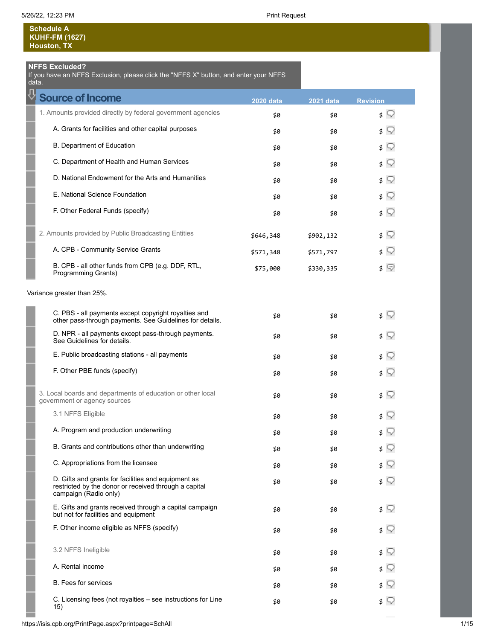**Schedule A KUHF-FM (1627) Houston, TX**

### **NFFS Excluded?**

If you have an NFFS Exclusion, please click the "NFFS X" button, and enter your NFFS data.

| <b>Source of Income</b>                                                                                                               | <b>2020 data</b> | 2021 data | <b>Revision</b>           |
|---------------------------------------------------------------------------------------------------------------------------------------|------------------|-----------|---------------------------|
| 1. Amounts provided directly by federal government agencies                                                                           | \$0              | \$0       | s V                       |
| A. Grants for facilities and other capital purposes                                                                                   | \$0              | \$0       | 3 V                       |
| B. Department of Education                                                                                                            | \$0              | \$0       | ≴ ू                       |
| C. Department of Health and Human Services                                                                                            | \$0              | \$0       | \$ V                      |
| D. National Endowment for the Arts and Humanities                                                                                     | \$0              | \$0       | ≴ ू                       |
| E. National Science Foundation                                                                                                        | \$0              | \$0       | ≴ ू                       |
| F. Other Federal Funds (specify)                                                                                                      | \$0              | \$0       | \$ V                      |
| 2. Amounts provided by Public Broadcasting Entities                                                                                   | \$646,348        | \$902,132 | \$ V                      |
| A. CPB - Community Service Grants                                                                                                     | \$571,348        | \$571,797 | \$ Y                      |
| B. CPB - all other funds from CPB (e.g. DDF, RTL,<br><b>Programming Grants)</b>                                                       | \$75,000         | \$330,335 | \$ ©                      |
| Variance greater than 25%.                                                                                                            |                  |           |                           |
| C. PBS - all payments except copyright royalties and<br>other pass-through payments. See Guidelines for details.                      | \$0              | \$0       | ≴ ू                       |
| D. NPR - all payments except pass-through payments.<br>See Guidelines for details.                                                    | \$0              | \$0       | \$ V                      |
| E. Public broadcasting stations - all payments                                                                                        | \$0              | \$0       | \$ V                      |
| F. Other PBE funds (specify)                                                                                                          | \$0              | \$0       | ≴ ू                       |
| 3. Local boards and departments of education or other local<br>government or agency sources                                           | \$0              | \$0       | $\sqrt{ }$                |
| 3.1 NFFS Eligible                                                                                                                     | \$0              | \$0       | s V                       |
| A. Program and production underwriting                                                                                                | \$0              | \$0       | s V                       |
| B. Grants and contributions other than underwriting                                                                                   | \$0              | \$0       | $\sqrt{2}$                |
| C. Appropriations from the licensee                                                                                                   | \$0              | \$0       | \$                        |
| D. Gifts and grants for facilities and equipment as<br>restricted by the donor or received through a capital<br>campaign (Radio only) | \$0              | \$0       | s V                       |
| E. Gifts and grants received through a capital campaign<br>but not for facilities and equipment                                       | \$0              | \$0       | s V                       |
| F. Other income eligible as NFFS (specify)                                                                                            | \$0              | \$0       | s V                       |
| 3.2 NFFS Ineligible                                                                                                                   | \$0              | \$0       | $\mathfrak{s} \mathbb{Q}$ |
| A. Rental income                                                                                                                      | \$0              | \$0       | \$ ?                      |
| <b>B.</b> Fees for services                                                                                                           | \$0              | \$0       | s V                       |
| C. Licensing fees (not royalties - see instructions for Line<br>15)                                                                   | \$0              | \$0       | ≴ ⊊                       |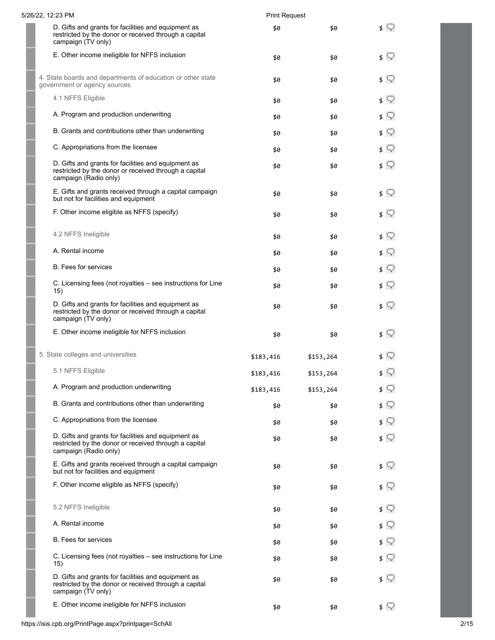| 5/26/22, 12:23 PM                                                                                                                     | <b>Print Request</b> |           |               |
|---------------------------------------------------------------------------------------------------------------------------------------|----------------------|-----------|---------------|
| D. Gifts and grants for facilities and equipment as<br>restricted by the donor or received through a capital<br>campaign (TV only)    | \$0                  | \$0       | \$ ⊊          |
| E. Other income ineligible for NFFS inclusion                                                                                         | \$0                  | \$0       | $\sqrt{ }$    |
| 4. State boards and departments of education or other state<br>government or agency sources                                           | \$0                  | \$0       | $\sqrt{ }$    |
| 4.1 NFFS Eligible                                                                                                                     | \$0                  | \$0       | $\sqrt{ }$    |
| A. Program and production underwriting                                                                                                | \$0                  | \$0       | $\sqrt{ }$    |
| B. Grants and contributions other than underwriting                                                                                   | \$0                  | \$0       | \$ V          |
| C. Appropriations from the licensee                                                                                                   | \$0                  | \$0       | ≴ ♡           |
| D. Gifts and grants for facilities and equipment as<br>restricted by the donor or received through a capital<br>campaign (Radio only) | \$0                  | \$0       | $\sqrt{ }$    |
| E. Gifts and grants received through a capital campaign<br>but not for facilities and equipment                                       | \$0                  | \$0       | $\sqrt{2}$    |
| F. Other income eligible as NFFS (specify)                                                                                            | \$0                  | \$0       | $\sqrt{ }$    |
| 4.2 NFFS Ineligible                                                                                                                   | \$0                  | \$0       | $\sqrt{ }$    |
| A. Rental income                                                                                                                      | \$0                  | \$0       | $\sqrt{ }$    |
| <b>B.</b> Fees for services                                                                                                           | \$0                  | \$0       | \$ V          |
| C. Licensing fees (not royalties - see instructions for Line<br>15)                                                                   | \$0                  | \$0       | \$ V          |
| D. Gifts and grants for facilities and equipment as<br>restricted by the donor or received through a capital<br>campaign (TV only)    | \$0                  | \$0       | \$ ⊊          |
| E. Other income ineligible for NFFS inclusion                                                                                         | \$0                  | \$0       | $\sqrt{ }$    |
| 5. State colleges and universities                                                                                                    | \$183,416            | \$153,264 | s V           |
| 5.1 NFFS Eligible                                                                                                                     | \$183,416            | \$153,264 | ≰ ू           |
| A. Program and production underwriting                                                                                                | \$183,416            | \$153,264 | 3 V           |
| B. Grants and contributions other than underwriting                                                                                   | \$0                  | \$0       | $\sqrt{ }$    |
| C. Appropriations from the licensee                                                                                                   | \$0                  | \$0       | $\sqrt{2}$    |
| D. Gifts and grants for facilities and equipment as<br>restricted by the donor or received through a capital<br>campaign (Radio only) | \$0                  | \$0       | \$ Y          |
| E. Gifts and grants received through a capital campaign<br>but not for facilities and equipment                                       | \$0                  | \$0       | $\frac{1}{2}$ |
| F. Other income eligible as NFFS (specify)                                                                                            | \$0                  | \$0       | \$ W          |
| 5.2 NFFS Ineligible                                                                                                                   | \$0                  | \$0       | $\sqrt{ }$    |
| A. Rental income                                                                                                                      | \$0                  | \$0       | $\sqrt{2}$    |
| <b>B.</b> Fees for services                                                                                                           | \$0                  | \$0       | $\sqrt{ }$    |
| C. Licensing fees (not royalties – see instructions for Line<br>15)                                                                   | \$0                  | \$0       | ≴ ⊊           |
| D. Gifts and grants for facilities and equipment as<br>restricted by the donor or received through a capital<br>campaign (TV only)    | \$0                  | \$0       | $\sqrt{ }$    |
| E. Other income ineligible for NFFS inclusion                                                                                         | \$0                  | \$0       | $\sqrt{ }$    |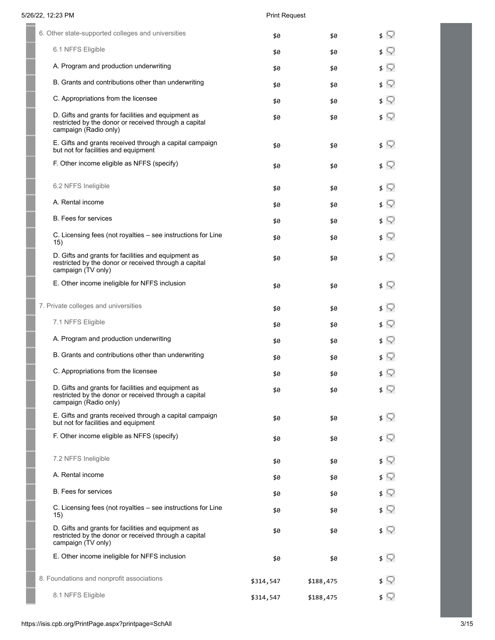| 6. Other state-supported colleges and universities                                                                                    | \$0       | \$0       | ≰ ⊊                          |
|---------------------------------------------------------------------------------------------------------------------------------------|-----------|-----------|------------------------------|
| 6.1 NFFS Eligible                                                                                                                     | \$0       | \$0       | ≰ ⊊                          |
| A. Program and production underwriting                                                                                                | \$0       | \$0       |                              |
| B. Grants and contributions other than underwriting                                                                                   | \$0       | \$0       | $\mathfrak{s} \nabla$        |
| C. Appropriations from the licensee                                                                                                   | \$0       | \$0       | ≰ ⊊                          |
| D. Gifts and grants for facilities and equipment as<br>restricted by the donor or received through a capital<br>campaign (Radio only) | \$0       | \$0       |                              |
| E. Gifts and grants received through a capital campaign<br>but not for facilities and equipment                                       | \$0       | \$0       | ≰ ⊊                          |
| F. Other income eligible as NFFS (specify)                                                                                            | \$0       | \$0       | ≰ ⊊                          |
| 6.2 NFFS Ineligible                                                                                                                   | \$0       | \$0       | ≰ ⊊                          |
| A. Rental income                                                                                                                      | \$0       | \$0       |                              |
| <b>B.</b> Fees for services                                                                                                           | \$0       | \$0       | $\sqrt{ }$                   |
| C. Licensing fees (not royalties - see instructions for Line<br>15)                                                                   | \$0       | \$0       | $\sqrt{ }$                   |
| D. Gifts and grants for facilities and equipment as<br>restricted by the donor or received through a capital<br>campaign (TV only)    | \$0       | \$0       |                              |
| E. Other income ineligible for NFFS inclusion                                                                                         | \$0       | \$0       | $\mathfrak{s} \; \mathbb{Q}$ |
| 7. Private colleges and universities                                                                                                  | \$0       | \$0       | Q<br>\$                      |
| 7.1 NFFS Eligible                                                                                                                     | \$0       | \$0       | $\mathfrak{s} \; \mathbb{Q}$ |
| A. Program and production underwriting                                                                                                | \$0       | \$0       | ≰ ⊊                          |
| B. Grants and contributions other than underwriting                                                                                   | \$0       | \$0       | ≰ ⊊                          |
| C. Appropriations from the licensee                                                                                                   | \$0       | \$0       | $\sqrt{ }$                   |
| D. Gifts and grants for facilities and equipment as<br>restricted by the donor or received through a capital<br>campaign (Radio only) | \$0       | \$0       | $\sqrt{ }$                   |
| E. Gifts and grants received through a capital campaign<br>but not for facilities and equipment                                       | \$0       | \$0       | ≰ ⊊                          |
| F. Other income eligible as NFFS (specify)                                                                                            | \$0       | \$0       | \$ V                         |
| 7.2 NFFS Ineligible                                                                                                                   | \$0       | \$0       | ≰ ⊊                          |
| A. Rental income                                                                                                                      | \$0       | \$0       | ≰ ⊊                          |
| <b>B.</b> Fees for services                                                                                                           | \$0       | \$0       | ≰ ⊊                          |
| C. Licensing fees (not royalties - see instructions for Line<br>15)                                                                   | \$0       | \$0       | ≰ ⊊                          |
| D. Gifts and grants for facilities and equipment as<br>restricted by the donor or received through a capital<br>campaign (TV only)    | \$0       | \$0       | $\sqrt{ }$                   |
| E. Other income ineligible for NFFS inclusion                                                                                         | \$0       | \$0       | ≰ ⊊                          |
| 8. Foundations and nonprofit associations                                                                                             | \$314,547 | \$188,475 | Q<br>\$                      |
| 8.1 NFFS Eligible                                                                                                                     | \$314,547 | \$188,475 | $\sqrt{ }$                   |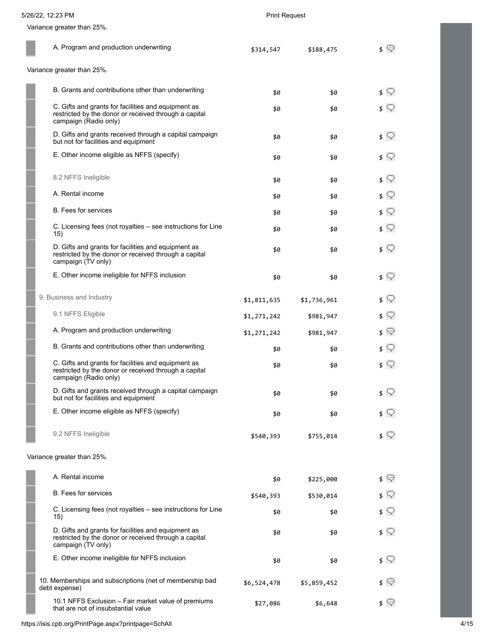| Variance greater than 25%.                                                                                                            |             |             |                              |
|---------------------------------------------------------------------------------------------------------------------------------------|-------------|-------------|------------------------------|
| A. Program and production underwriting                                                                                                | \$314,547   | \$188,475   | $\sqrt{ }$                   |
| Variance greater than 25%.                                                                                                            |             |             |                              |
| B. Grants and contributions other than underwriting                                                                                   | \$0         | \$0         | \$ V                         |
| C. Gifts and grants for facilities and equipment as<br>restricted by the donor or received through a capital<br>campaign (Radio only) | \$0         | \$0         | \$ V                         |
| D. Gifts and grants received through a capital campaign<br>but not for facilities and equipment                                       | \$0         | \$0         | \$ Y                         |
| E. Other income eligible as NFFS (specify)                                                                                            | \$0         | \$0         | \$ ♡                         |
| 8.2 NFFS Ineligible                                                                                                                   | \$0         | \$0         | \$ ?                         |
| A. Rental income                                                                                                                      | \$0         | \$0         | $\sqrt{ }$                   |
| <b>B.</b> Fees for services                                                                                                           | \$0         | \$0         | \$ ?                         |
| C. Licensing fees (not royalties - see instructions for Line<br>15)                                                                   | \$0         | \$0         | $\sqrt{ }$                   |
| D. Gifts and grants for facilities and equipment as<br>restricted by the donor or received through a capital<br>campaign (TV only)    | \$0         | \$0         | s V                          |
| E. Other income ineligible for NFFS inclusion                                                                                         | \$0         | \$0         | \$ V                         |
| 9. Business and Industry                                                                                                              | \$1,811,635 | \$1,736,961 | 3 V                          |
| 9.1 NFFS Eligible                                                                                                                     | \$1,271,242 | \$981,947   | \$ Y                         |
| A. Program and production underwriting                                                                                                | \$1,271,242 | \$981,947   | \$ ©                         |
| B. Grants and contributions other than underwriting                                                                                   | \$0         | \$0         | $\mathfrak{s} \; \heartsuit$ |
| C. Gifts and grants for facilities and equipment as<br>restricted by the donor or received through a capital<br>campaign (Radio only) | \$0         | \$0         | s V                          |
| D. Gifts and grants received through a capital campaign<br>but not for facilities and equipment                                       | \$0         | \$0         | s V                          |
| E. Other income eligible as NFFS (specify)                                                                                            | \$0         | \$0         | $\mathfrak{s} \; \mathbb{Q}$ |
| 9.2 NFFS Ineligible                                                                                                                   | \$540,393   | \$755,014   | $\sqrt{ }$                   |
| Variance greater than 25%.                                                                                                            |             |             |                              |
| A. Rental income                                                                                                                      | \$0         | \$225,000   | \$ ©                         |
| <b>B.</b> Fees for services                                                                                                           | \$540,393   | \$530,014   | $\sqrt{2}$                   |
| C. Licensing fees (not royalties – see instructions for Line<br>15)                                                                   | \$0         | \$0         | \$ ?                         |
| D. Gifts and grants for facilities and equipment as<br>restricted by the donor or received through a capital<br>campaign (TV only)    | \$0         | \$0         | $\sqrt{ }$                   |
| E. Other income ineligible for NFFS inclusion                                                                                         | \$0         | \$0         | ≰ ⊊                          |
| 10. Memberships and subscriptions (net of membership bad<br>debt expense)                                                             | \$6,524,478 | \$5,859,452 |                              |
| 10.1 NFFS Exclusion - Fair market value of premiums<br>that are not of insubstantial value                                            | \$27,086    | \$6,648     | \$ ≌                         |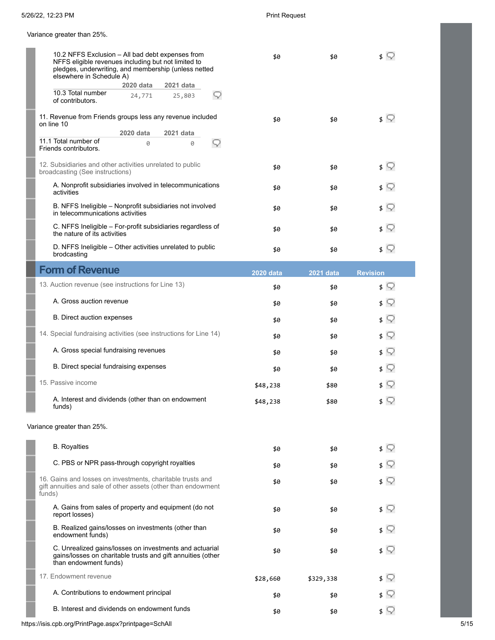Variance greater than 25%.

| 10.2 NFFS Exclusion - All bad debt expenses from<br>NFFS eligible revenues including but not limited to<br>pledges, underwriting, and membership (unless netted<br>elsewhere in Schedule A) | \$0              | \$0              | s V                          |
|---------------------------------------------------------------------------------------------------------------------------------------------------------------------------------------------|------------------|------------------|------------------------------|
| 2020 data<br>2021 data                                                                                                                                                                      |                  |                  |                              |
| 10.3 Total number<br>24,771<br>25,803<br>v<br>of contributors.                                                                                                                              |                  |                  |                              |
| 11. Revenue from Friends groups less any revenue included<br>on line 10                                                                                                                     | \$0              | \$0              | $\sqrt{ }$                   |
| 2020 data<br>2021 data                                                                                                                                                                      |                  |                  |                              |
| 11.1 Total number of<br>0<br>Ø<br>Friends contributors.                                                                                                                                     |                  |                  |                              |
| 12. Subsidiaries and other activities unrelated to public<br>broadcasting (See instructions)                                                                                                | \$0              | \$0              | \$ ?                         |
| A. Nonprofit subsidiaries involved in telecommunications<br>activities                                                                                                                      | \$0              | \$0              | s V                          |
| B. NFFS Ineligible - Nonprofit subsidiaries not involved<br>in telecommunications activities                                                                                                | \$0              | \$0              | $\mathfrak{s} \; \heartsuit$ |
| C. NFFS Ineligible - For-profit subsidiaries regardless of<br>the nature of its activities                                                                                                  | \$0              | \$0              | \$ V                         |
| D. NFFS Ineligible - Other activities unrelated to public<br>brodcasting                                                                                                                    | \$0              | \$0              | ≴ ♡                          |
| <b>Form of Revenue</b>                                                                                                                                                                      | <b>2020 data</b> | <b>2021 data</b> | <b>Revision</b>              |
| 13. Auction revenue (see instructions for Line 13)                                                                                                                                          | \$0              | \$0              | \$ V                         |
| A. Gross auction revenue                                                                                                                                                                    | \$0              | \$0              | \$ V                         |
| <b>B.</b> Direct auction expenses                                                                                                                                                           | \$0              | \$0              | \$ ?                         |
| 14. Special fundraising activities (see instructions for Line 14)                                                                                                                           | \$0              | \$0              | $\mathfrak{s} \; \mathbb{Q}$ |
| A. Gross special fundraising revenues                                                                                                                                                       | \$0              | \$0              | \$ V                         |
| B. Direct special fundraising expenses                                                                                                                                                      | \$0              | \$0              | \$ ?                         |
| 15. Passive income                                                                                                                                                                          | \$48,238         | \$80             | $\mathfrak{s} \; \heartsuit$ |
| A. Interest and dividends (other than on endowment<br>funds)                                                                                                                                | \$48,238         | \$80             | $\mathfrak{s} \; \heartsuit$ |
| Variance greater than 25%.                                                                                                                                                                  |                  |                  |                              |
| <b>B.</b> Royalties                                                                                                                                                                         | \$0              | \$0              | \$ ?                         |
| C. PBS or NPR pass-through copyright royalties                                                                                                                                              | \$0              | \$0              | s V                          |
| 16. Gains and losses on investments, charitable trusts and<br>gift annuities and sale of other assets (other than endowment<br>funds)                                                       | \$0              | \$0              | $\mathfrak{s} \; \heartsuit$ |
| A. Gains from sales of property and equipment (do not<br>report losses)                                                                                                                     | \$0              | \$0              | $\mathfrak{s} \; \heartsuit$ |
| B. Realized gains/losses on investments (other than<br>endowment funds)                                                                                                                     | \$0              | \$0              | s V                          |
| C. Unrealized gains/losses on investments and actuarial<br>gains/losses on charitable trusts and gift annuities (other<br>than endowment funds)                                             | \$0              | \$0              | s V                          |
| 17. Endowment revenue                                                                                                                                                                       | \$28,660         | \$329,338        | \$ Y                         |
| A. Contributions to endowment principal                                                                                                                                                     | \$0              | \$0              | s V                          |
| B. Interest and dividends on endowment funds                                                                                                                                                | \$0              | \$0              | $\sqrt{ }$                   |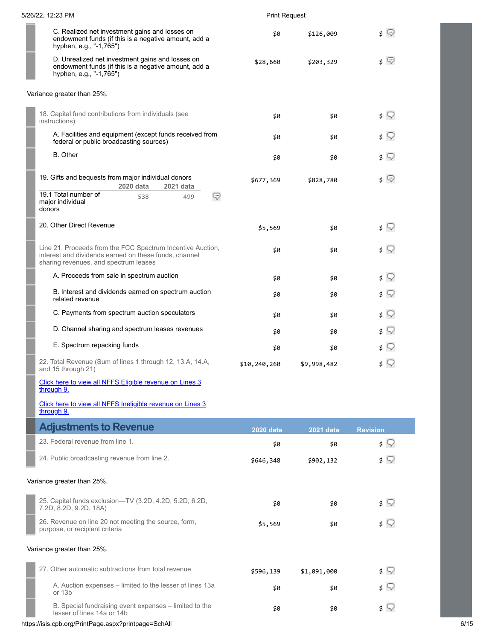| 5/26/22, 12:23 PM                                                                                                                                            | <b>Print Request</b> |             |                              |
|--------------------------------------------------------------------------------------------------------------------------------------------------------------|----------------------|-------------|------------------------------|
| C. Realized net investment gains and losses on<br>endowment funds (if this is a negative amount, add a<br>hyphen, e.g., "-1,765")                            | \$0                  | \$126,009   | ≰ ©                          |
| D. Unrealized net investment gains and losses on<br>endowment funds (if this is a negative amount, add a<br>hyphen, e.g., "-1,765")                          | \$28,660             | \$203,329   | ≰ ©                          |
| Variance greater than 25%.                                                                                                                                   |                      |             |                              |
| 18. Capital fund contributions from individuals (see<br>instructions)                                                                                        | \$0                  | \$0         | ≴ ⊊                          |
| A. Facilities and equipment (except funds received from<br>federal or public broadcasting sources)                                                           | \$0                  | \$0         | \$ V                         |
| <b>B.</b> Other                                                                                                                                              | \$0                  | \$0         | $\sqrt{ }$                   |
| 19. Gifts and bequests from major individual donors<br>2020 data<br>2021 data                                                                                | \$677,369            | \$828,780   | ≰ ©                          |
| 19.1 Total number of<br>☞<br>538<br>499<br>major individual<br>donors                                                                                        |                      |             |                              |
| 20. Other Direct Revenue                                                                                                                                     | \$5,569              | \$0         | $\sqrt{ }$                   |
| Line 21. Proceeds from the FCC Spectrum Incentive Auction,<br>interest and dividends earned on these funds, channel<br>sharing revenues, and spectrum leases | \$0                  | \$0         | $\mathfrak{s} \; \heartsuit$ |
| A. Proceeds from sale in spectrum auction                                                                                                                    | \$0                  | \$0         | \$ ?                         |
| B. Interest and dividends earned on spectrum auction<br>related revenue                                                                                      | \$0                  | \$0         | $\sqrt{ }$                   |
| C. Payments from spectrum auction speculators                                                                                                                | \$0                  | \$0         | $\sqrt{ }$                   |
| D. Channel sharing and spectrum leases revenues                                                                                                              | \$0                  | \$0         | $\sqrt{ }$                   |
| E. Spectrum repacking funds                                                                                                                                  | \$0                  | \$0         | $\mathfrak{s} \heartsuit$    |
| 22. Total Revenue (Sum of lines 1 through 12, 13.A, 14.A,<br>and 15 through 21)                                                                              | \$10,240,260         | \$9,998,482 | s V                          |
| Click here to view all NFFS Eligible revenue on Lines 3<br>through 9.                                                                                        |                      |             |                              |
| Click here to view all NFFS Ineligible revenue on Lines 3<br>through 9.                                                                                      |                      |             |                              |
| <b>Adjustments to Revenue</b>                                                                                                                                | <b>2020 data</b>     | 2021 data   | <b>Revision</b>              |
| 23. Federal revenue from line 1.                                                                                                                             | \$0                  | \$0         | $\sqrt{ }$                   |
| 24. Public broadcasting revenue from line 2.                                                                                                                 | \$646,348            | \$902,132   | $\sqrt{2}$                   |
| Variance greater than 25%.                                                                                                                                   |                      |             |                              |
| 25. Capital funds exclusion-TV (3.2D, 4.2D, 5.2D, 6.2D,<br>7.2D, 8.2D, 9.2D, 18A)                                                                            | \$0                  | \$0         | $\sqrt{ }$                   |
| 26. Revenue on line 20 not meeting the source, form,<br>purpose, or recipient criteria                                                                       | \$5,569              | \$0         | $\frac{1}{2}$                |
| Variance greater than 25%.                                                                                                                                   |                      |             |                              |
| 27. Other automatic subtractions from total revenue                                                                                                          | \$596,139            | \$1,091,000 | $\sqrt{ }$                   |
| A. Auction expenses – limited to the lesser of lines 13a<br>or 13b                                                                                           | \$0                  | \$0         | $\sqrt{ }$                   |
| B. Special fundraising event expenses - limited to the<br>lesser of lines 14a or 14b                                                                         | \$0                  | \$0         | $\sqrt{ }$                   |

## https://isis.cpb.org/PrintPage.aspx?printpage=SchAll 6/15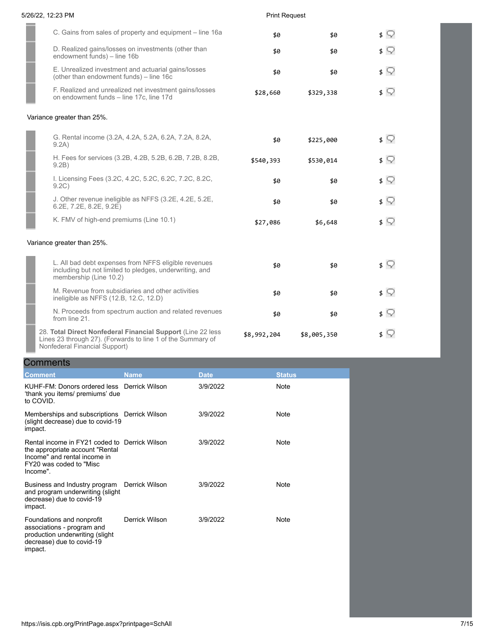| 5/26/22, 12:23 PM                                                                                                                         | <b>Print Request</b> |             |            |
|-------------------------------------------------------------------------------------------------------------------------------------------|----------------------|-------------|------------|
| C. Gains from sales of property and equipment – line 16a.                                                                                 | \$0                  | \$0         | $\sqrt{ }$ |
| D. Realized gains/losses on investments (other than<br>endowment funds) - line 16b                                                        | \$0                  | \$0         | ≴ ू        |
| E. Unrealized investment and actuarial gains/losses<br>(other than endowment funds) - line 16c                                            | \$0                  | \$0         | ≴ ू        |
| F. Realized and unrealized net investment gains/losses<br>on endowment funds - line 17c, line 17d                                         | \$28,660             | \$329,338   | ≴ ू        |
| Variance greater than 25%.                                                                                                                |                      |             |            |
| G. Rental income (3.2A, 4.2A, 5.2A, 6.2A, 7.2A, 8.2A,<br>9.2A)                                                                            | \$0                  | \$225,000   | $\sqrt{ }$ |
| H. Fees for services (3.2B, 4.2B, 5.2B, 6.2B, 7.2B, 8.2B,<br>9.2B)                                                                        | \$540,393            | \$530,014   | $\sqrt{ }$ |
| I. Licensing Fees (3.2C, 4.2C, 5.2C, 6.2C, 7.2C, 8.2C,<br>9.2C)                                                                           | \$0                  | \$0         | ≴ ♡        |
| J. Other revenue ineligible as NFFS (3.2E, 4.2E, 5.2E,<br>$6.2E$ , $7.2E$ , $8.2E$ , $9.2E$ )                                             | \$0                  | \$0         | \$ V       |
| K. FMV of high-end premiums (Line 10.1)                                                                                                   | \$27,086             | \$6,648     | $\sqrt{ }$ |
| Variance greater than 25%.                                                                                                                |                      |             |            |
| L. All bad debt expenses from NFFS eligible revenues<br>including but not limited to pledges, underwriting, and<br>membership (Line 10.2) | \$0                  | \$0         | \$ ?       |
| M. Revenue from subsidiaries and other activities<br>ineligible as NFFS (12.B, 12.C, 12.D)                                                | \$0                  | \$0         | ≴ ⊊        |
| N. Proceeds from spectrum auction and related revenues<br>from line 21.                                                                   | \$0                  | \$0         | ≴ ू        |
| 28. Total Direct Nonfederal Financial Support (Line 22 less<br>Lines 23 through 27). (Forwards to line 1 of the Summary of                | \$8,992,204          | \$8,005,350 | $\sqrt{2}$ |

**Nonfederal Financial Support)** 

# **Comments**

| <b>Comment</b>                                                                                                                                          | <b>Name</b>    | <b>Date</b> | <b>Status</b> |
|---------------------------------------------------------------------------------------------------------------------------------------------------------|----------------|-------------|---------------|
| KUHF-FM: Donors ordered less Derrick Wilson<br>'thank you items/ premiums' due<br>to COVID.                                                             |                | 3/9/2022    | Note          |
| Memberships and subscriptions Derrick Wilson<br>(slight decrease) due to covid-19<br>impact.                                                            |                | 3/9/2022    | <b>Note</b>   |
| Rental income in FY21 coded to Derrick Wilson<br>the appropriate account "Rental<br>Income" and rental income in<br>FY20 was coded to "Misc<br>Income". |                | 3/9/2022    | <b>Note</b>   |
| Business and Industry program<br>and program underwriting (slight<br>decrease) due to covid-19<br>impact.                                               | Derrick Wilson | 3/9/2022    | Note          |
| Foundations and nonprofit<br>associations - program and<br>production underwriting (slight<br>decrease) due to covid-19<br>impact.                      | Derrick Wilson | 3/9/2022    | Note          |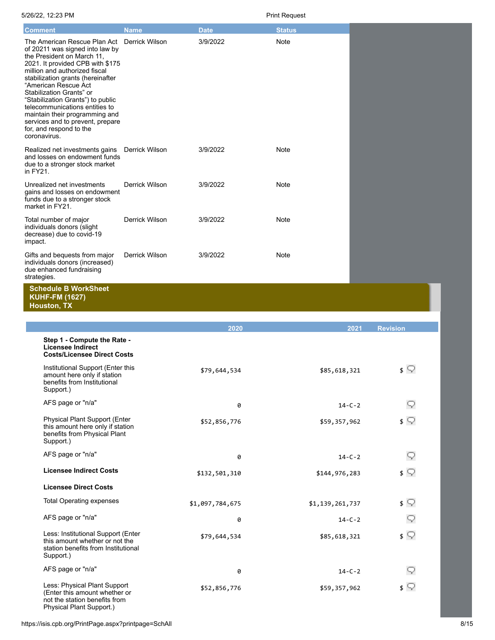| <b>Comment</b>                                                                                                                                                                                                                                                                                                                                                                                                                                      | <b>Name</b>           | <b>Date</b> | <b>Status</b> |
|-----------------------------------------------------------------------------------------------------------------------------------------------------------------------------------------------------------------------------------------------------------------------------------------------------------------------------------------------------------------------------------------------------------------------------------------------------|-----------------------|-------------|---------------|
| The American Rescue Plan Act<br>of 20211 was signed into law by<br>the President on March 11,<br>2021. It provided CPB with \$175<br>million and authorized fiscal<br>stabilization grants (hereinafter<br>"American Rescue Act<br>Stabilization Grants" or<br>"Stabilization Grants") to public<br>telecommunications entities to<br>maintain their programming and<br>services and to prevent, prepare<br>for, and respond to the<br>coronavirus. | Derrick Wilson        | 3/9/2022    | Note          |
| Realized net investments gains<br>and losses on endowment funds<br>due to a stronger stock market<br>in FY21.                                                                                                                                                                                                                                                                                                                                       | Derrick Wilson        | 3/9/2022    | Note          |
| Unrealized net investments<br>gains and losses on endowment<br>funds due to a stronger stock<br>market in FY21.                                                                                                                                                                                                                                                                                                                                     | Derrick Wilson        | 3/9/2022    | <b>Note</b>   |
| Total number of major<br>individuals donors (slight<br>decrease) due to covid-19<br>impact.                                                                                                                                                                                                                                                                                                                                                         | Derrick Wilson        | 3/9/2022    | Note          |
| Gifts and bequests from major<br>individuals donors (increased)<br>due enhanced fundraising<br>strategies.                                                                                                                                                                                                                                                                                                                                          | <b>Derrick Wilson</b> | 3/9/2022    | Note          |
| <b>Schedule B WorkSheet</b>                                                                                                                                                                                                                                                                                                                                                                                                                         |                       |             |               |

**KUHF-FM (1627)**

**Houston, TX**

|                                                                                                                            | 2020            | 2021            | <b>Revision</b> |
|----------------------------------------------------------------------------------------------------------------------------|-----------------|-----------------|-----------------|
| Step 1 - Compute the Rate -<br><b>Licensee Indirect</b><br><b>Costs/Licensee Direct Costs</b>                              |                 |                 |                 |
| Institutional Support (Enter this<br>amount here only if station<br>benefits from Institutional<br>Support.)               | \$79,644,534    | \$85,618,321    | \$ ∑            |
| AFS page or "n/a"                                                                                                          | 0               | $14 - C - 2$    |                 |
| Physical Plant Support (Enter<br>this amount here only if station<br>benefits from Physical Plant<br>Support.)             | \$52,856,776    | \$59,357,962    | $\sqrt{ }$      |
| AFS page or "n/a"                                                                                                          | 0               | $14 - C - 2$    |                 |
| <b>Licensee Indirect Costs</b>                                                                                             | \$132,501,310   | \$144,976,283   | \$ ∑            |
| <b>Licensee Direct Costs</b>                                                                                               |                 |                 |                 |
| <b>Total Operating expenses</b>                                                                                            | \$1,097,784,675 | \$1,139,261,737 | \$ ∑            |
| AFS page or "n/a"                                                                                                          | 0               | $14 - C - 2$    |                 |
| Less: Institutional Support (Enter<br>this amount whether or not the<br>station benefits from Institutional<br>Support.)   | \$79,644,534    | \$85,618,321    | $\sqrt{ }$      |
| AFS page or "n/a"                                                                                                          | 0               | $14 - C - 2$    |                 |
| Less: Physical Plant Support<br>(Enter this amount whether or<br>not the station benefits from<br>Physical Plant Support.) | \$52,856,776    | \$59,357,962    | $\sqrt{ }$      |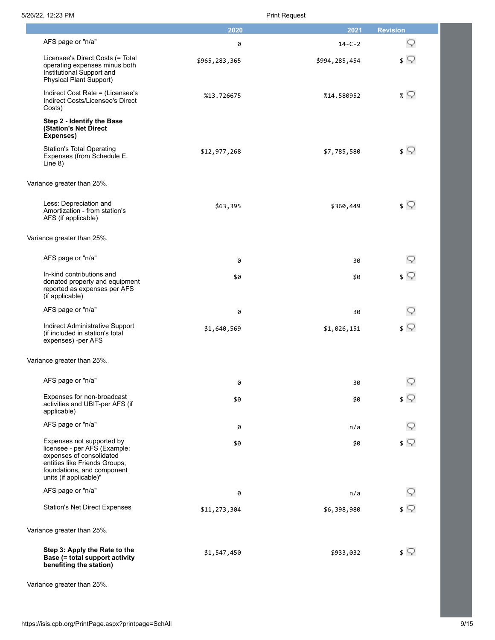|                                                                                                                                                                                | 2020          | 2021          | <b>Revision</b> |
|--------------------------------------------------------------------------------------------------------------------------------------------------------------------------------|---------------|---------------|-----------------|
| AFS page or "n/a"                                                                                                                                                              | 0             | $14 - C - 2$  |                 |
| Licensee's Direct Costs (= Total<br>operating expenses minus both<br>Institutional Support and<br><b>Physical Plant Support)</b>                                               | \$965,283,365 | \$994,285,454 | \$ ⊽            |
| Indirect Cost Rate = (Licensee's<br>Indirect Costs/Licensee's Direct<br>Costs)                                                                                                 | %13.726675    | %14.580952    | % V             |
| Step 2 - Identify the Base<br>(Station's Net Direct<br>Expenses)                                                                                                               |               |               |                 |
| <b>Station's Total Operating</b><br>Expenses (from Schedule E,<br>Line $8)$                                                                                                    | \$12,977,268  | \$7,785,580   | $\sqrt{ }$      |
| Variance greater than 25%.                                                                                                                                                     |               |               |                 |
| Less: Depreciation and<br>Amortization - from station's<br>AFS (if applicable)                                                                                                 | \$63,395      | \$360,449     | ≴ ⊊             |
| Variance greater than 25%.                                                                                                                                                     |               |               |                 |
| AFS page or "n/a"                                                                                                                                                              | 0             | 30            |                 |
| In-kind contributions and<br>donated property and equipment<br>reported as expenses per AFS<br>(if applicable)                                                                 | \$0           | \$0           |                 |
| AFS page or "n/a"                                                                                                                                                              | 0             | 30            |                 |
| Indirect Administrative Support<br>(if included in station's total<br>expenses) -per AFS                                                                                       | \$1,640,569   | \$1,026,151   | \$ V            |
| Variance greater than 25%.                                                                                                                                                     |               |               |                 |
| AFS page or "n/a"                                                                                                                                                              | 0             | 30            | Q               |
| Expenses for non-broadcast<br>activities and UBIT-per AFS (if<br>applicable)                                                                                                   | \$0           | \$0           | $\sqrt{ }$      |
| AFS page or "n/a"                                                                                                                                                              | 0             | n/a           |                 |
| Expenses not supported by<br>licensee - per AFS (Example:<br>expenses of consolidated<br>entities like Friends Groups,<br>foundations, and component<br>units (if applicable)" | \$0           | \$0           | ≰ ⊊             |
| AFS page or "n/a"                                                                                                                                                              | 0             | n/a           |                 |
| <b>Station's Net Direct Expenses</b>                                                                                                                                           | \$11,273,304  | \$6,398,980   | ≰ ⊊             |
| Variance greater than 25%.                                                                                                                                                     |               |               |                 |
| Step 3: Apply the Rate to the<br>Base (= total support activity<br>benefiting the station)                                                                                     | \$1,547,450   | \$933,032     | $\sqrt{ }$      |

Variance greater than 25%.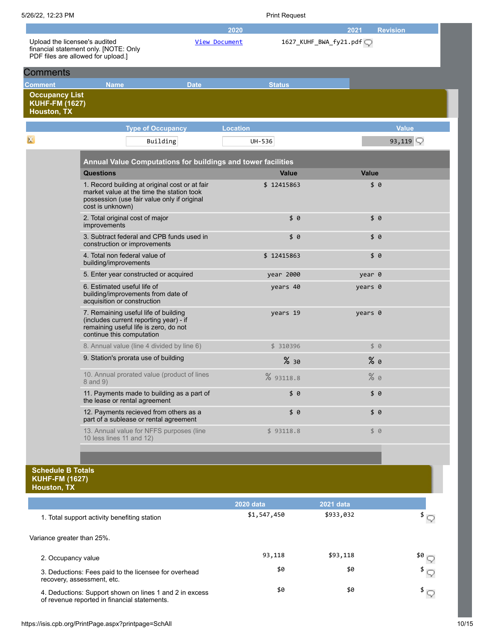| 5/26/22, 12:23 PM                                                    |                                                                                                                                                                |               |                 | <b>Print Request</b> |                        |                     |
|----------------------------------------------------------------------|----------------------------------------------------------------------------------------------------------------------------------------------------------------|---------------|-----------------|----------------------|------------------------|---------------------|
|                                                                      |                                                                                                                                                                |               | 2020            |                      | 2021                   | <b>Revision</b>     |
| Upload the licensee's audited                                        | financial statement only. [NOTE: Only<br>PDF files are allowed for upload.]                                                                                    | View Document |                 |                      | 1627_KUHF_BWA_fy21.pdf |                     |
| <b>Comments</b>                                                      |                                                                                                                                                                |               |                 |                      |                        |                     |
| Comment                                                              | <b>Name</b>                                                                                                                                                    | <b>Date</b>   |                 | <b>Status</b>        |                        |                     |
| <b>Occupancy List</b><br><b>KUHF-FM (1627)</b><br><b>Houston, TX</b> |                                                                                                                                                                |               |                 |                      |                        |                     |
|                                                                      | <b>Type of Occupancy</b>                                                                                                                                       |               | <b>Location</b> |                      |                        | <b>Value</b>        |
|                                                                      | Building                                                                                                                                                       |               | UH-536          |                      |                        | 93,119 $\heartsuit$ |
|                                                                      | Annual Value Computations for buildings and tower facilities                                                                                                   |               |                 |                      |                        |                     |
|                                                                      | <b>Questions</b>                                                                                                                                               |               |                 | <b>Value</b>         | <b>Value</b>           |                     |
|                                                                      | 1. Record building at original cost or at fair<br>market value at the time the station took<br>possession (use fair value only if original<br>cost is unknown) |               |                 | \$12415863           | \$6                    |                     |
|                                                                      | 2. Total original cost of major<br>improvements                                                                                                                |               |                 | \$0                  | \$0                    |                     |
|                                                                      | 3. Subtract federal and CPB funds used in<br>construction or improvements                                                                                      |               |                 | \$0                  | \$0                    |                     |
|                                                                      | 4. Total non federal value of<br>building/improvements                                                                                                         |               |                 | \$12415863           | \$0                    |                     |
|                                                                      | 5. Enter year constructed or acquired                                                                                                                          |               |                 | year 2000            | year 0                 |                     |
|                                                                      | 6. Estimated useful life of<br>building/improvements from date of<br>acquisition or construction                                                               |               |                 | years 40             | years 0                |                     |
|                                                                      | 7. Remaining useful life of building<br>(includes current reporting year) - if<br>remaining useful life is zero, do not<br>continue this computation           |               |                 | years 19             | years 0                |                     |
|                                                                      | 8. Annual value (line 4 divided by line 6)                                                                                                                     |               |                 | \$310396             | \$0                    |                     |
|                                                                      | 9. Station's prorata use of building                                                                                                                           |               |                 | %30                  | $%$ 0                  |                     |
|                                                                      | 10. Annual prorated value (product of lines<br>8 and 9)                                                                                                        |               |                 | % 93118.8            | %9                     |                     |
|                                                                      | 11. Payments made to building as a part of<br>the lease or rental agreement                                                                                    |               |                 | \$0                  | \$0                    |                     |
|                                                                      | 12. Payments recieved from others as a<br>part of a sublease or rental agreement                                                                               |               |                 | \$0                  | \$0                    |                     |
|                                                                      | 13. Annual value for NFFS purposes (line<br>10 less lines 11 and 12)                                                                                           |               |                 | \$93118.8            | \$8                    |                     |
|                                                                      |                                                                                                                                                                |               |                 |                      |                        |                     |
| <b>Schodulo B Totale</b>                                             |                                                                                                                                                                |               |                 |                      |                        |                     |

### **Schedule B Totals KUHF-FM (1627) Houston, TX**

|                                                                                                         | <b>2020 data</b> | 2021 data |     |
|---------------------------------------------------------------------------------------------------------|------------------|-----------|-----|
| 1. Total support activity benefiting station                                                            | \$1,547,450      | \$933,032 |     |
| Variance greater than 25%.                                                                              |                  |           |     |
| 2. Occupancy value                                                                                      | 93,118           | \$93,118  | \$0 |
| 3. Deductions: Fees paid to the licensee for overhead<br>recovery, assessment, etc.                     | \$0              | \$0       |     |
| 4. Deductions: Support shown on lines 1 and 2 in excess<br>of revenue reported in financial statements. | \$0              | \$0       |     |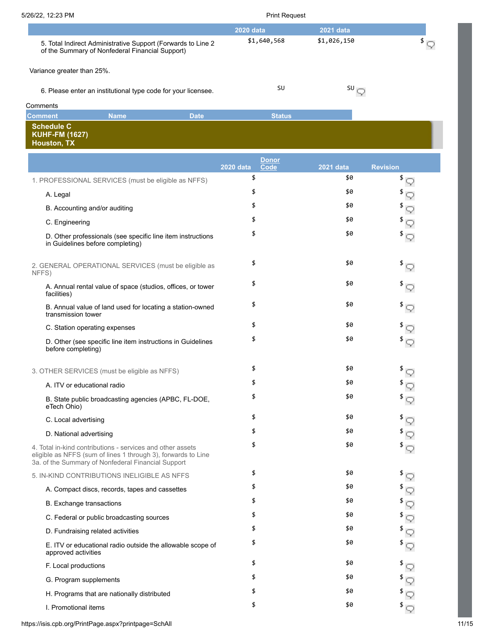| 5/26/22, 12:23 PM |                                                                                                                  | <b>Print Request</b> |             |  |
|-------------------|------------------------------------------------------------------------------------------------------------------|----------------------|-------------|--|
|                   |                                                                                                                  | 2020 data            | 2021 data   |  |
|                   | 5. Total Indirect Administrative Support (Forwards to Line 2)<br>of the Summary of Nonfederal Financial Support) | \$1,640,568          | \$1,026,150 |  |
|                   | Variance greater than 25%.                                                                                       |                      |             |  |
|                   | 6. Please enter an institutional type code for your licensee.                                                    | SU                   | SU —        |  |

| Comments                             |             |             |               |  |
|--------------------------------------|-------------|-------------|---------------|--|
| <b>Comment</b>                       | <b>Name</b> | <b>Date</b> | <b>Status</b> |  |
| Schedule C                           |             |             |               |  |
| <b>KUHF-FM (1627)</b><br>Houston, TX |             |             |               |  |

|                                                                                                                                                                                   | Donor<br><b>Code</b><br><b>2020 data</b> | <b>2021 data</b> | <b>Revision</b>  |
|-----------------------------------------------------------------------------------------------------------------------------------------------------------------------------------|------------------------------------------|------------------|------------------|
| 1. PROFESSIONAL SERVICES (must be eligible as NFFS)                                                                                                                               | \$                                       | \$0              | \$               |
| A. Legal                                                                                                                                                                          | \$                                       | \$0              |                  |
| B. Accounting and/or auditing                                                                                                                                                     | \$                                       | \$0              |                  |
| C. Engineering                                                                                                                                                                    | \$                                       | \$0              |                  |
| D. Other professionals (see specific line item instructions<br>in Guidelines before completing)                                                                                   | \$                                       | \$0              |                  |
| 2. GENERAL OPERATIONAL SERVICES (must be eligible as<br>NFFS)                                                                                                                     | \$                                       | \$0              |                  |
| A. Annual rental value of space (studios, offices, or tower<br>facilities)                                                                                                        | \$                                       | \$0              |                  |
| B. Annual value of land used for locating a station-owned<br>transmission tower                                                                                                   | \$                                       | \$0              |                  |
| C. Station operating expenses                                                                                                                                                     | \$                                       | \$0              |                  |
| D. Other (see specific line item instructions in Guidelines<br>before completing)                                                                                                 | \$                                       | \$0              |                  |
| 3. OTHER SERVICES (must be eligible as NFFS)                                                                                                                                      | \$                                       | \$0              | \$               |
| A. ITV or educational radio                                                                                                                                                       | \$                                       | \$0              |                  |
| B. State public broadcasting agencies (APBC, FL-DOE,<br>eTech Ohio)                                                                                                               | \$                                       | \$0              |                  |
| C. Local advertising                                                                                                                                                              | \$                                       | \$0              | \$               |
| D. National advertising                                                                                                                                                           | \$                                       | \$0              |                  |
| 4. Total in-kind contributions - services and other assets<br>eligible as NFFS (sum of lines 1 through 3), forwards to Line<br>3a. of the Summary of Nonfederal Financial Support | \$                                       | \$0              |                  |
| 5. IN-KIND CONTRIBUTIONS INELIGIBLE AS NFFS                                                                                                                                       | \$                                       | \$0              | \$               |
| A. Compact discs, records, tapes and cassettes                                                                                                                                    | \$                                       | \$0              |                  |
| <b>B.</b> Exchange transactions                                                                                                                                                   | \$                                       | \$0              |                  |
| C. Federal or public broadcasting sources                                                                                                                                         | \$                                       | \$0              | $^{\frac{3}{2}}$ |
| D. Fundraising related activities                                                                                                                                                 | \$                                       | \$0              | \$               |
| E. ITV or educational radio outside the allowable scope of<br>approved activities                                                                                                 | \$                                       | \$0              |                  |
| F. Local productions                                                                                                                                                              | \$                                       | \$0              | \$               |
| G. Program supplements                                                                                                                                                            | \$                                       | \$0              |                  |
| H. Programs that are nationally distributed                                                                                                                                       | \$                                       | \$0              |                  |
| I. Promotional items                                                                                                                                                              | \$                                       | \$0              |                  |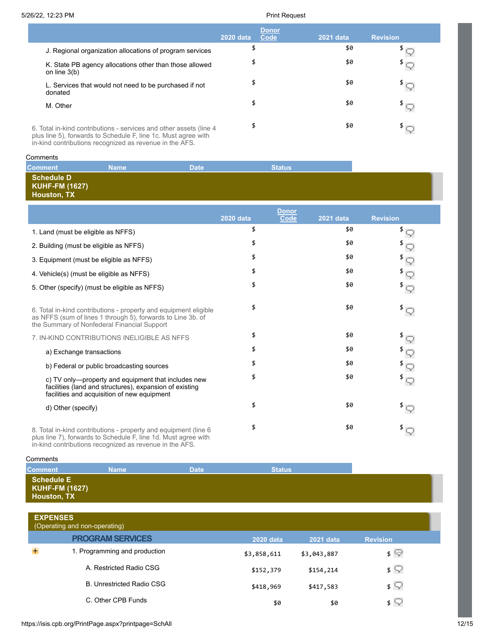|                                                                                                                                      | 2020 data | <b>Donor</b><br>Code | 2021 data | <b>Revision</b> |
|--------------------------------------------------------------------------------------------------------------------------------------|-----------|----------------------|-----------|-----------------|
| J. Regional organization allocations of program services                                                                             | \$        |                      | \$0       |                 |
| K. State PB agency allocations other than those allowed<br>on line $3(b)$                                                            | \$        |                      | \$0       |                 |
| L. Services that would not need to be purchased if not<br>donated                                                                    | \$        |                      | \$0       | $\frac{1}{2}$   |
| M. Other                                                                                                                             | \$        |                      | \$0       |                 |
| 6. Total in-kind contributions - services and other assets (line 4<br>plus line 5), forwards to Schedule F, line 1c. Must agree with | \$        |                      | \$0       |                 |

in-kind contributions recognized as revenue in the AFS.

### **Comments**

| Comment                                                          | <b>Name</b> | <b>Date</b> | <b>Status</b> |
|------------------------------------------------------------------|-------------|-------------|---------------|
| <b>Schedule D</b><br><b>KUHF-FM (1627)</b><br><b>Houston, TX</b> |             |             |               |

|                                                                                                                                                                                | <b>2020 data</b> | <b>Donor</b><br>Code | 2021 data | <b>Revision</b>                                                         |
|--------------------------------------------------------------------------------------------------------------------------------------------------------------------------------|------------------|----------------------|-----------|-------------------------------------------------------------------------|
| 1. Land (must be eligible as NFFS)                                                                                                                                             | \$               |                      | \$0       | \$                                                                      |
| 2. Building (must be eligible as NFFS)                                                                                                                                         | \$               |                      | \$0       |                                                                         |
| 3. Equipment (must be eligible as NFFS)                                                                                                                                        | \$               |                      | \$0       |                                                                         |
| 4. Vehicle(s) (must be eligible as NFFS)                                                                                                                                       | \$               |                      | \$0       |                                                                         |
| 5. Other (specify) (must be eligible as NFFS)                                                                                                                                  | \$               |                      | \$0       | $^{\frac{3}{2}}$                                                        |
| 6. Total in-kind contributions - property and equipment eligible<br>as NFFS (sum of lines 1 through 5), forwards to Line 3b. of<br>the Summary of Nonfederal Financial Support | \$               |                      | \$0       | $\mathbf{E}$                                                            |
| 7. IN-KIND CONTRIBUTIONS INELIGIBLE AS NFFS                                                                                                                                    | \$               |                      | \$0       |                                                                         |
| a) Exchange transactions                                                                                                                                                       | \$               |                      | \$0       | $\begin{array}{c}\n\ast \circ \\ \ast \circ \\ \ast \circ\n\end{array}$ |
| b) Federal or public broadcasting sources                                                                                                                                      | \$               |                      | \$0       |                                                                         |
| c) TV only—property and equipment that includes new<br>facilities (land and structures), expansion of existing<br>facilities and acquisition of new equipment                  | \$               |                      | \$0       | $^{\mathrm{\$}}$ $\heartsuit$                                           |
| d) Other (specify)                                                                                                                                                             | \$               |                      | \$0       | $\sqrt[3]{\mathbb{Q}}$                                                  |
| 8. Total in-kind contributions - property and equipment (line 6<br>elus lies 7) famuarda ta Oskaslula E lies del Mustasses udik                                                | \$               |                      | \$0       |                                                                         |

plus line 7), forwards to Schedule F, line 1d. Must agree with in-kind contributions recognized as revenue in the AFS.

### **Comments**

| <b>Comment</b>                                                   | Name | <b>Date</b> | <b>Status</b> |
|------------------------------------------------------------------|------|-------------|---------------|
| <b>Schedule E</b><br><b>KUHF-FM (1627)</b><br><b>Houston, TX</b> |      |             |               |

| <b>EXPENSES</b><br>(Operating and non-operating) |                  |                  |                 |
|--------------------------------------------------|------------------|------------------|-----------------|
| <b>PROGRAM SERVICES</b>                          | <b>2020 data</b> | <b>2021 data</b> | <b>Revision</b> |
| 1. Programming and production                    | \$3,858,611      | \$3,043,887      | \$ യ            |
| A. Restricted Radio CSG                          | \$152,379        | \$154,214        | $\frac{1}{2}$   |
| <b>B. Unrestricted Radio CSG</b>                 | \$418,969        | \$417,583        | $\sqrt{ }$      |
| C. Other CPB Funds                               | \$0              | \$0              | $\frac{1}{2}$   |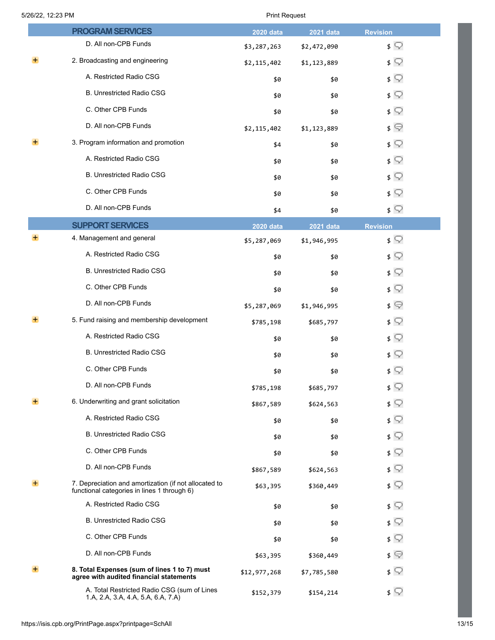|       | <b>PROGRAM SERVICES</b>                                                                              | <b>2020 data</b> | 2021 data   | <b>Revision</b> |
|-------|------------------------------------------------------------------------------------------------------|------------------|-------------|-----------------|
|       | D. All non-CPB Funds                                                                                 | \$3,287,263      | \$2,472,090 | $\sqrt{ }$      |
|       | 2. Broadcasting and engineering                                                                      | \$2,115,402      | \$1,123,889 | $\sqrt{ }$      |
|       | A. Restricted Radio CSG                                                                              | \$0              | \$0         | $\sqrt{ }$      |
|       | <b>B. Unrestricted Radio CSG</b>                                                                     | \$0              | \$0         | $\sqrt{ }$      |
|       | C. Other CPB Funds                                                                                   | \$0              | \$0         | $\sqrt{ }$      |
|       | D. All non-CPB Funds                                                                                 | \$2,115,402      | \$1,123,889 | $\sqrt{ }$      |
|       | 3. Program information and promotion                                                                 | \$4              | \$0         | $\sqrt{ }$      |
|       | A. Restricted Radio CSG                                                                              | \$0              | \$0         | $\sqrt{ }$      |
|       | <b>B. Unrestricted Radio CSG</b>                                                                     | \$0              | \$0         | $\sqrt{ }$      |
|       | C. Other CPB Funds                                                                                   | \$0              | \$0         | $\sqrt{ }$      |
|       | D. All non-CPB Funds                                                                                 | \$4              | \$0         | $\sqrt{ }$      |
|       | <b>SUPPORT SERVICES</b>                                                                              | <b>2020 data</b> | 2021 data   | <b>Revision</b> |
| +     | 4. Management and general                                                                            | \$5,287,069      | \$1,946,995 | $\sqrt{ }$      |
|       | A. Restricted Radio CSG                                                                              | \$0              | \$0         | $\sqrt{ }$      |
|       | <b>B. Unrestricted Radio CSG</b>                                                                     | \$0              | \$0         | $\sqrt{ }$      |
|       | C. Other CPB Funds                                                                                   | \$0              | \$0         | $\sqrt{ }$      |
|       | D. All non-CPB Funds                                                                                 | \$5,287,069      | \$1,946,995 | $\sqrt{ }$      |
| $\pm$ | 5. Fund raising and membership development                                                           | \$785,198        | \$685,797   | $\sqrt{ }$      |
|       | A. Restricted Radio CSG                                                                              | \$0              | \$0         | $\sqrt{ }$      |
|       | B. Unrestricted Radio CSG                                                                            | \$0              | \$0         | $\sqrt{ }$      |
|       | C. Other CPB Funds                                                                                   | \$0              | \$0         | $\sqrt{ }$      |
|       | D. All non-CPB Funds                                                                                 | \$785,198        | \$685,797   | $\sqrt{2}$      |
| ÷.    | 6. Underwriting and grant solicitation                                                               | \$867,589        | \$624,563   | $\sqrt{ }$      |
|       | A. Restricted Radio CSG                                                                              | \$0              | \$0         | $\sqrt{ }$      |
|       | B. Unrestricted Radio CSG                                                                            | \$0              | \$0         | $\sqrt{ }$      |
|       | C. Other CPB Funds                                                                                   | \$0              | \$0         | $\sqrt{ }$      |
|       | D. All non-CPB Funds                                                                                 | \$867,589        | \$624,563   | $\frac{1}{2}$   |
| $+$   | 7. Depreciation and amortization (if not allocated to<br>functional categories in lines 1 through 6) | \$63,395         | \$360,449   | ≴ ⊊             |
|       | A. Restricted Radio CSG                                                                              | \$0              | \$0         | $\sqrt{ }$      |
|       | <b>B. Unrestricted Radio CSG</b>                                                                     | \$0              | \$0         | $\sqrt{ }$      |
|       | C. Other CPB Funds                                                                                   | \$0              | \$0         | $\sqrt{ }$      |
|       | D. All non-CPB Funds                                                                                 | \$63,395         | \$360,449   | $\sqrt{ }$      |
|       | 8. Total Expenses (sum of lines 1 to 7) must<br>agree with audited financial statements              | \$12,977,268     | \$7,785,580 | $\frac{1}{2}$   |
|       | A. Total Restricted Radio CSG (sum of Lines<br>1.A, 2.A, 3.A, 4.A, 5.A, 6.A, 7.A)                    | \$152,379        | \$154,214   | $\sqrt{ }$      |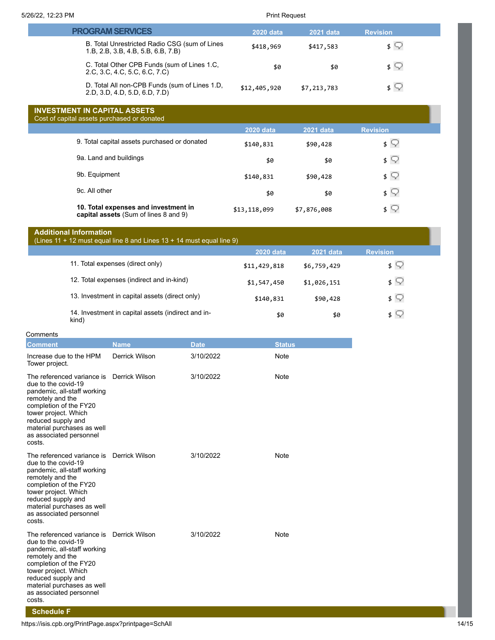| <b>PROGRAM SERVICES</b>                                                             | <b>2020 data</b> | 2021 data   | <b>Revision</b> |  |
|-------------------------------------------------------------------------------------|------------------|-------------|-----------------|--|
| B. Total Unrestricted Radio CSG (sum of Lines<br>1.B, 2.B, 3.B, 4.B, 5.B, 6.B, 7.B) | \$418,969        | \$417,583   | $\frac{1}{2}$   |  |
| C. Total Other CPB Funds (sum of Lines 1.C.<br>2.C, 3.C, 4.C, 5.C, 6.C, 7.C)        | \$0              | \$0         | s V             |  |
| D. Total All non-CPB Funds (sum of Lines 1.D,<br>2.D, 3.D, 4.D, 5.D, 6.D, 7.D)      | \$12,405,920     | \$7,213,783 | ⊀⊾              |  |

# **INVESTMENT IN CAPITAL ASSETS**

| Cost of capital assets purchased or donated                                   |                  |             |                   |  |
|-------------------------------------------------------------------------------|------------------|-------------|-------------------|--|
|                                                                               | <b>2020 data</b> | 2021 data   | <b>Revision</b>   |  |
| 9. Total capital assets purchased or donated                                  | \$140,831        | \$90,428    | \$ W              |  |
| 9a. Land and buildings                                                        | \$0              | \$0         | \$ V              |  |
| 9b. Equipment                                                                 | \$140,831        | \$90,428    | \$ V              |  |
| 9c. All other                                                                 | \$0              | \$0         | $\sqrt{2}$        |  |
| 10. Total expenses and investment in<br>capital assets (Sum of lines 8 and 9) | \$13,118,099     | \$7,876,008 | $\mathsf{s} \vee$ |  |

## **Additional Information**

(Lines 11 + 12 must equal line 8 and Lines 13 + 14 must equal line 9)

|                                                             | <b>2020 data</b> | <b>2021 data</b> | <b>Revision</b>   |
|-------------------------------------------------------------|------------------|------------------|-------------------|
| 11. Total expenses (direct only)                            | \$11,429,818     | \$6,759,429      | \$ W              |
| 12. Total expenses (indirect and in-kind)                   | \$1,547,450      | \$1,026,151      | \$ 52             |
| 13. Investment in capital assets (direct only)              | \$140,831        | \$90,428         | \$ Y              |
| 14. Investment in capital assets (indirect and in-<br>kind) | \$0              | \$0              | $\mathsf{s} \vee$ |

| Comments                                                                                                                                                                                                                                        |                |             |               |  |  |  |  |
|-------------------------------------------------------------------------------------------------------------------------------------------------------------------------------------------------------------------------------------------------|----------------|-------------|---------------|--|--|--|--|
| <b>Comment</b>                                                                                                                                                                                                                                  | <b>Name</b>    | <b>Date</b> | <b>Status</b> |  |  |  |  |
| Increase due to the HPM<br>Tower project.                                                                                                                                                                                                       | Derrick Wilson | 3/10/2022   | <b>Note</b>   |  |  |  |  |
| The referenced variance is<br>due to the covid-19<br>pandemic, all-staff working<br>remotely and the<br>completion of the FY20<br>tower project. Which<br>reduced supply and<br>material purchases as well<br>as associated personnel<br>costs. | Derrick Wilson | 3/10/2022   | <b>Note</b>   |  |  |  |  |
| The referenced variance is<br>due to the covid-19<br>pandemic, all-staff working<br>remotely and the<br>completion of the FY20<br>tower project. Which<br>reduced supply and<br>material purchases as well<br>as associated personnel<br>costs. | Derrick Wilson | 3/10/2022   | Note          |  |  |  |  |
| The referenced variance is<br>due to the covid-19<br>pandemic, all-staff working<br>remotely and the<br>completion of the FY20<br>tower project. Which<br>reduced supply and<br>material purchases as well<br>as associated personnel<br>costs. | Derrick Wilson | 3/10/2022   | <b>Note</b>   |  |  |  |  |

## **Schedule F**